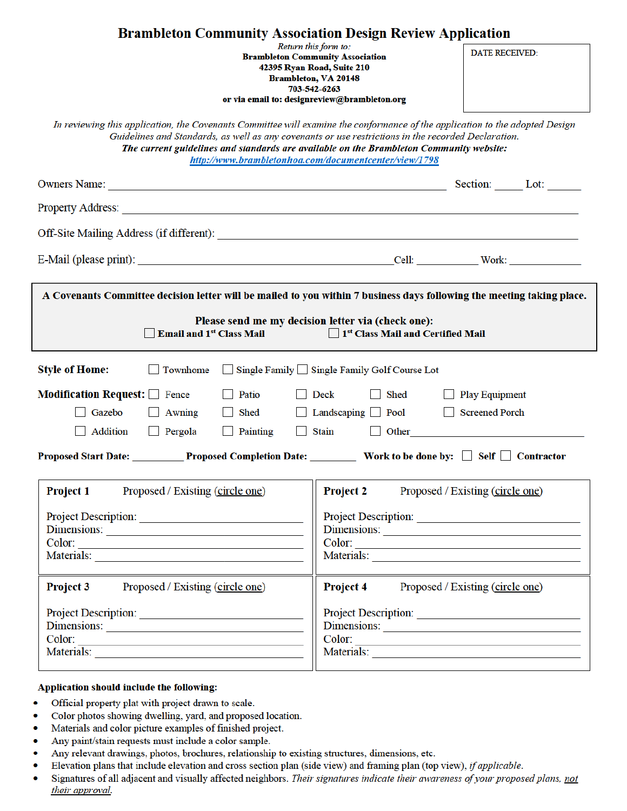| <b>DATE RECEIVED:</b>                                                                                                                                                                                                                                                                                                                                                                   |  |  |  |  |
|-----------------------------------------------------------------------------------------------------------------------------------------------------------------------------------------------------------------------------------------------------------------------------------------------------------------------------------------------------------------------------------------|--|--|--|--|
|                                                                                                                                                                                                                                                                                                                                                                                         |  |  |  |  |
| In reviewing this application, the Covenants Committee will examine the conformance of the application to the adopted Design<br>Guidelines and Standards, as well as any covenants or use restrictions in the recorded Declaration.<br>The current guidelines and standards are available on the Brambleton Community website:<br>http://www.brambletonhoa.com/documentcenter/view/1798 |  |  |  |  |
|                                                                                                                                                                                                                                                                                                                                                                                         |  |  |  |  |
|                                                                                                                                                                                                                                                                                                                                                                                         |  |  |  |  |
|                                                                                                                                                                                                                                                                                                                                                                                         |  |  |  |  |
|                                                                                                                                                                                                                                                                                                                                                                                         |  |  |  |  |
| A Covenants Committee decision letter will be mailed to you within 7 business days following the meeting taking place.                                                                                                                                                                                                                                                                  |  |  |  |  |
| Please send me my decision letter via (check one):<br>1 <sup>st</sup> Class Mail and Certified Mail<br><b>Email and 1st Class Mail</b>                                                                                                                                                                                                                                                  |  |  |  |  |
| Single Family Single Family Golf Course Lot                                                                                                                                                                                                                                                                                                                                             |  |  |  |  |
| Modification Request: Fence<br>Play Equipment<br>  Patio<br>$\blacksquare$ Deck<br>$\Box$ Shed                                                                                                                                                                                                                                                                                          |  |  |  |  |
| Screened Porch                                                                                                                                                                                                                                                                                                                                                                          |  |  |  |  |
| Addition Pergola<br>$\Box$ Painting<br>Stain<br><b>Other</b><br>$\perp$                                                                                                                                                                                                                                                                                                                 |  |  |  |  |
| Proposed Start Date: Proposed Completion Date: Work to be done by: Self © Contractor                                                                                                                                                                                                                                                                                                    |  |  |  |  |
| Proposed / Existing (circle one)                                                                                                                                                                                                                                                                                                                                                        |  |  |  |  |
|                                                                                                                                                                                                                                                                                                                                                                                         |  |  |  |  |
| Dimensions:                                                                                                                                                                                                                                                                                                                                                                             |  |  |  |  |
|                                                                                                                                                                                                                                                                                                                                                                                         |  |  |  |  |
|                                                                                                                                                                                                                                                                                                                                                                                         |  |  |  |  |
| Proposed / Existing (circle one)                                                                                                                                                                                                                                                                                                                                                        |  |  |  |  |
| Project Description:                                                                                                                                                                                                                                                                                                                                                                    |  |  |  |  |
| Dimensions:                                                                                                                                                                                                                                                                                                                                                                             |  |  |  |  |
| Color:                                                                                                                                                                                                                                                                                                                                                                                  |  |  |  |  |
|                                                                                                                                                                                                                                                                                                                                                                                         |  |  |  |  |

## Application should include the following:

- ۰ Official property plat with project drawn to scale.
- Color photos showing dwelling, yard, and proposed location.  $\bullet$
- $\bullet$ Materials and color picture examples of finished project.
- Any paint/stain requests must include a color sample.  $\bullet$
- ۰ Any relevant drawings, photos, brochures, relationship to existing structures, dimensions, etc.
- $\bullet$ Elevation plans that include elevation and cross section plan (side view) and framing plan (top view), if applicable.
- Signatures of all adjacent and visually affected neighbors. Their signatures indicate their awareness of your proposed plans, not ö their approval.